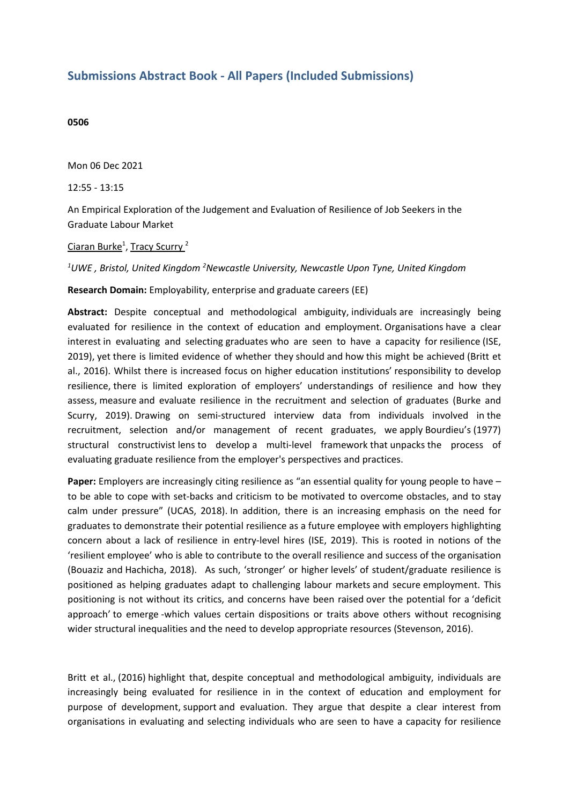## **Submissions Abstract Book - All Papers (Included Submissions)**

## **0506**

Mon 06 Dec 2021

12:55 - 13:15

An Empirical Exploration of the Judgement and Evaluation of Resilience of Job Seekers in the Graduate Labour Market

## <u>Ciaran Burke<sup>1</sup>, Tracy Scurry <sup>2</sup></u>

*1 UWE , Bristol, United Kingdom <sup>2</sup> Newcastle University, Newcastle Upon Tyne, United Kingdom*

**Research Domain:** Employability, enterprise and graduate careers (EE)

**Abstract:** Despite conceptual and methodological ambiguity, individuals are increasingly being evaluated for resilience in the context of education and employment. Organisations have <sup>a</sup> clear interest in evaluating and selecting graduates who are seen to have <sup>a</sup> capacity for resilience (ISE, 2019), yet there is limited evidence of whether they should and how this might be achieved (Britt et al., 2016). Whilst there is increased focus on higher education institutions' responsibility to develop resilience, there is limited exploration of employers' understandings of resilience and how they assess, measure and evaluate resilience in the recruitment and selection of graduates (Burke and Scurry, 2019). Drawing on semi-structured interview data from individuals involved in the recruitment, selection and/or management of recent graduates, we apply Bourdieu's (1977) structural constructivist lens to develop a multi-level framework that unpacks the process of evaluating graduate resilience from the employer's perspectives and practices.

**Paper:** Employers are increasingly citing resilience as "an essential quality for young people to have – to be able to cope with set-backs and criticism to be motivated to overcome obstacles, and to stay calm under pressure" (UCAS, 2018). In addition, there is an increasing emphasis on the need for graduates to demonstrate their potential resilience as <sup>a</sup> future employee with employers highlighting concern about <sup>a</sup> lack of resilience in entry-level hires (ISE, 2019). This is rooted in notions of the 'resilient employee' who is able to contribute to the overall resilience and success of the organisation (Bouaziz and Hachicha, 2018). As such, 'stronger' or higher levels' of student/graduate resilience is positioned as helping graduates adapt to challenging labour markets and secure employment. This positioning is not without its critics, and concerns have been raised over the potential for <sup>a</sup>'deficit approach' to emerge -which values certain dispositions or traits above others without recognising wider structural inequalities and the need to develop appropriate resources (Stevenson, 2016).

Britt et al., (2016) highlight that, despite conceptual and methodological ambiguity, individuals are increasingly being evaluated for resilience in in the context of education and employment for purpose of development, support and evaluation. They argue that despite <sup>a</sup> clear interest from organisations in evaluating and selecting individuals who are seen to have <sup>a</sup> capacity for resilience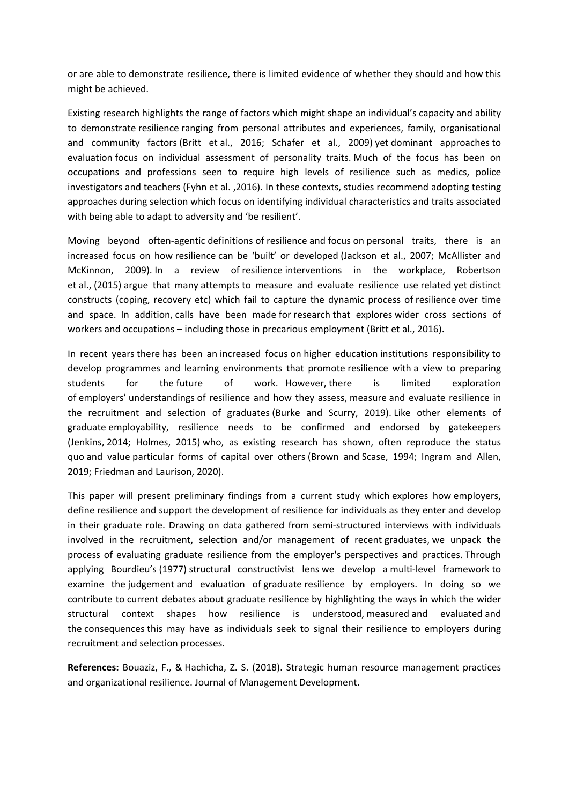or are able to demonstrate resilience, there is limited evidence of whether they should and how this might be achieved.

Existing research highlights the range of factors which might shape an individual's capacity and ability to demonstrate resilience ranging from personal attributes and experiences, family, organisational and community factors (Britt et al., 2016; Schafer et al., 2009) yet dominant approaches to evaluation focus on individual assessment of personality traits. Much of the focus has been on occupations and professions seen to require high levels of resilience such as medics, police investigators and teachers (Fyhn et al. ,2016). In these contexts, studies recommend adopting testing approaches during selection which focus on identifying individual characteristics and traits associated with being able to adapt to adversity and 'be resilient'.

Moving beyond often-agentic definitions of resilience and focus on personal traits, there is an increased focus on how resilience can be 'built' or developed (Jackson et al., 2007; McAllister and McKinnon, 2009). In <sup>a</sup> review of resilience interventions in the workplace, Robertson et al., (2015) argue that many attempts to measure and evaluate resilience use related yet distinct constructs (coping, recovery etc) which fail to capture the dynamic process of resilience over time and space. In addition, calls have been made for research that explores wider cross sections of workers and occupations – including those in precarious employment (Britt et al., 2016).

In recent years there has been an increased focus on higher education institutions responsibility to develop programmes and learning environments that promote resilience with a view to preparing students for the future of work. However, there is limited exploration of employers' understandings of resilience and how they assess, measure and evaluate resilience in the recruitment and selection of graduates (Burke and Scurry, 2019). Like other elements of graduate employability, resilience needs to be confirmed and endorsed by gatekeepers (Jenkins, 2014; Holmes, 2015) who, as existing research has shown, often reproduce the status quo and value particular forms of capital over others (Brown and Scase, 1994; Ingram and Allen, 2019; Friedman and Laurison, 2020).

This paper will present preliminary findings from <sup>a</sup> current study which explores how employers, define resilience and support the development of resilience for individuals as they enter and develop in their graduate role. Drawing on data gathered from semi-structured interviews with individuals involved in the recruitment, selection and/or management of recent graduates, we unpack the process of evaluating graduate resilience from the employer's perspectives and practices. Through applying Bourdieu's (1977) structural constructivist lens we develop a multi-level framework to examine the judgement and evaluation of graduate resilience by employers. In doing so we contribute to current debates about graduate resilience by highlighting the ways in which the wider structural context shapes how resilience is understood, measured and evaluated and the consequences this may have as individuals seek to signal their resilience to employers during recruitment and selection processes.

**References:** Bouaziz, F., & Hachicha, Z. S. (2018). Strategic human resource management practices and organizational resilience. Journal of Management Development.